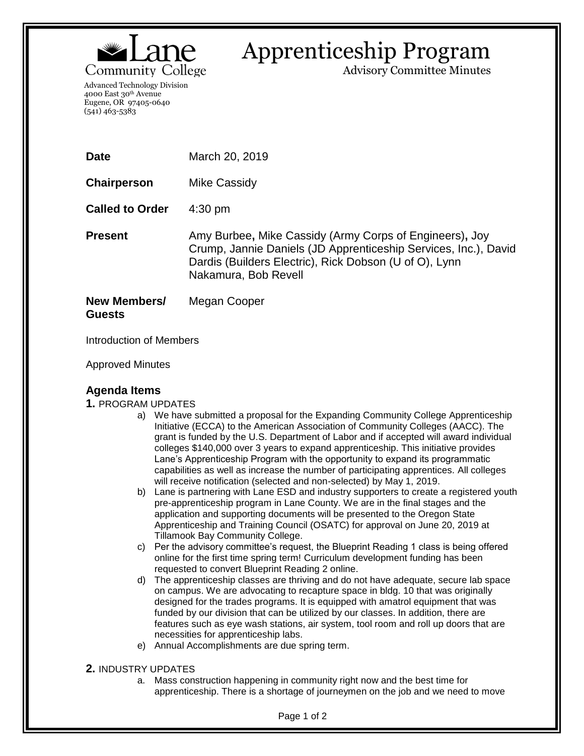

# Apprenticeship Program

Advisory Committee Minutes

Advanced Technology Division 4000 East 30th Avenue Eugene, OR 97405-0640 (541) 463-5383

| <b>Date</b>                          | March 20, 2019                                                                                                                                                                                               |
|--------------------------------------|--------------------------------------------------------------------------------------------------------------------------------------------------------------------------------------------------------------|
| Chairperson                          | Mike Cassidy                                                                                                                                                                                                 |
| <b>Called to Order</b>               | $4:30 \text{ pm}$                                                                                                                                                                                            |
| <b>Present</b>                       | Amy Burbee, Mike Cassidy (Army Corps of Engineers), Joy<br>Crump, Jannie Daniels (JD Apprenticeship Services, Inc.), David<br>Dardis (Builders Electric), Rick Dobson (U of O), Lynn<br>Nakamura, Bob Revell |
| <b>New Members/</b><br><b>Guests</b> | Megan Cooper                                                                                                                                                                                                 |

Introduction of Members

Approved Minutes

## **Agenda Items**

#### **1.** PROGRAM UPDATES

- a) We have submitted a proposal for the Expanding Community College Apprenticeship Initiative (ECCA) to the American Association of Community Colleges (AACC). The grant is funded by the U.S. Department of Labor and if accepted will award individual colleges \$140,000 over 3 years to expand apprenticeship. This initiative provides Lane's Apprenticeship Program with the opportunity to expand its programmatic capabilities as well as increase the number of participating apprentices. All colleges will receive notification (selected and non-selected) by May 1, 2019.
- b) Lane is partnering with Lane ESD and industry supporters to create a registered youth pre-apprenticeship program in Lane County. We are in the final stages and the application and supporting documents will be presented to the Oregon State Apprenticeship and Training Council (OSATC) for approval on June 20, 2019 at Tillamook Bay Community College.
- c) Per the advisory committee's request, the Blueprint Reading 1 class is being offered online for the first time spring term! Curriculum development funding has been requested to convert Blueprint Reading 2 online.
- d) The apprenticeship classes are thriving and do not have adequate, secure lab space on campus. We are advocating to recapture space in bldg. 10 that was originally designed for the trades programs. It is equipped with amatrol equipment that was funded by our division that can be utilized by our classes. In addition, there are features such as eye wash stations, air system, tool room and roll up doors that are necessities for apprenticeship labs.
- e) Annual Accomplishments are due spring term.

#### **2.** INDUSTRY UPDATES

a. Mass construction happening in community right now and the best time for apprenticeship. There is a shortage of journeymen on the job and we need to move